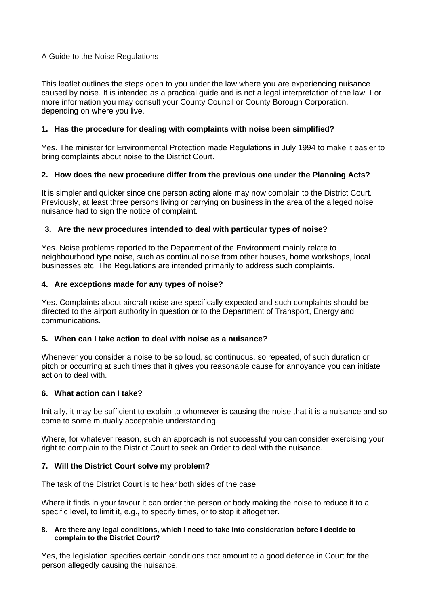# A Guide to the Noise Regulations

This leaflet outlines the steps open to you under the law where you are experiencing nuisance caused by noise. It is intended as a practical guide and is not a legal interpretation of the law. For more information you may consult your County Council or County Borough Corporation, depending on where you live.

# **1. Has the procedure for dealing with complaints with noise been simplified?**

Yes. The minister for Environmental Protection made Regulations in July 1994 to make it easier to bring complaints about noise to the District Court.

## **2. How does the new procedure differ from the previous one under the Planning Acts?**

It is simpler and quicker since one person acting alone may now complain to the District Court. Previously, at least three persons living or carrying on business in the area of the alleged noise nuisance had to sign the notice of complaint.

## **3. Are the new procedures intended to deal with particular types of noise?**

Yes. Noise problems reported to the Department of the Environment mainly relate to neighbourhood type noise, such as continual noise from other houses, home workshops, local businesses etc. The Regulations are intended primarily to address such complaints.

## **4. Are exceptions made for any types of noise?**

Yes. Complaints about aircraft noise are specifically expected and such complaints should be directed to the airport authority in question or to the Department of Transport, Energy and communications.

# **5. When can I take action to deal with noise as a nuisance?**

Whenever you consider a noise to be so loud, so continuous, so repeated, of such duration or pitch or occurring at such times that it gives you reasonable cause for annoyance you can initiate action to deal with.

# **6. What action can I take?**

Initially, it may be sufficient to explain to whomever is causing the noise that it is a nuisance and so come to some mutually acceptable understanding.

Where, for whatever reason, such an approach is not successful you can consider exercising your right to complain to the District Court to seek an Order to deal with the nuisance.

# **7. Will the District Court solve my problem?**

The task of the District Court is to hear both sides of the case.

Where it finds in your favour it can order the person or body making the noise to reduce it to a specific level, to limit it, e.g., to specify times, or to stop it altogether.

#### **8. Are there any legal conditions, which I need to take into consideration before I decide to complain to the District Court?**

Yes, the legislation specifies certain conditions that amount to a good defence in Court for the person allegedly causing the nuisance.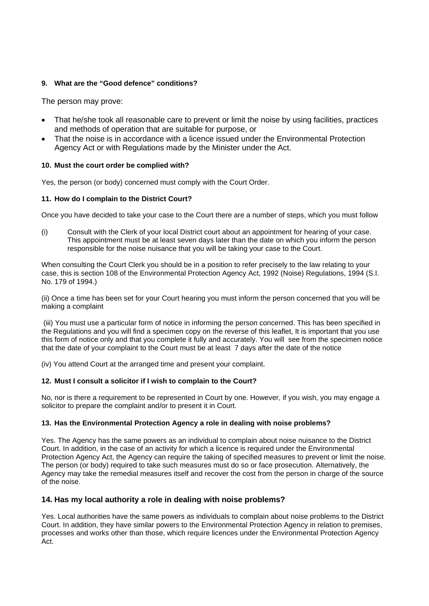#### **9. What are the "Good defence" conditions?**

The person may prove:

- That he/she took all reasonable care to prevent or limit the noise by using facilities, practices and methods of operation that are suitable for purpose, or
- That the noise is in accordance with a licence issued under the Environmental Protection Agency Act or with Regulations made by the Minister under the Act.

#### **10. Must the court order be complied with?**

Yes, the person (or body) concerned must comply with the Court Order.

#### **11. How do I complain to the District Court?**

Once you have decided to take your case to the Court there are a number of steps, which you must follow

(i) Consult with the Clerk of your local District court about an appointment for hearing of your case. This appointment must be at least seven days later than the date on which you inform the person responsible for the noise nuisance that you will be taking your case to the Court.

When consulting the Court Clerk you should be in a position to refer precisely to the law relating to your case, this is section 108 of the Environmental Protection Agency Act, 1992 (Noise) Regulations, 1994 (S.I. No. 179 of 1994.)

(ii) Once a time has been set for your Court hearing you must inform the person concerned that you will be making a complaint

(iii) You must use a particular form of notice in informing the person concerned. This has been specified in the Regulations and you will find a specimen copy on the reverse of this leaflet, It is important that you use this form of notice only and that you complete it fully and accurately. You will see from the specimen notice that the date of your complaint to the Court must be at least 7 days after the date of the notice

(iv) You attend Court at the arranged time and present your complaint.

#### **12. Must I consult a solicitor if I wish to complain to the Court?**

No, nor is there a requirement to be represented in Court by one. However, if you wish, you may engage a solicitor to prepare the complaint and/or to present it in Court.

#### **13. Has the Environmental Protection Agency a role in dealing with noise problems?**

Yes. The Agency has the same powers as an individual to complain about noise nuisance to the District Court. In addition, in the case of an activity for which a licence is required under the Environmental Protection Agency Act, the Agency can require the taking of specified measures to prevent or limit the noise. The person (or body) required to take such measures must do so or face prosecution. Alternatively, the Agency may take the remedial measures itself and recover the cost from the person in charge of the source of the noise.

# **14. Has my local authority a role in dealing with noise problems?**

Yes. Local authorities have the same powers as individuals to complain about noise problems to the District Court. In addition, they have similar powers to the Environmental Protection Agency in relation to premises, processes and works other than those, which require licences under the Environmental Protection Agency Act.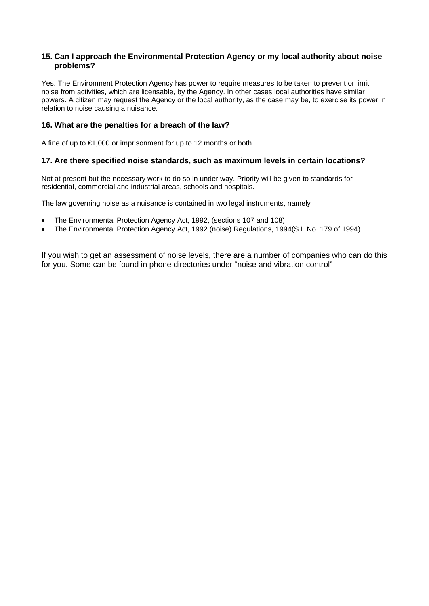#### **15. Can I approach the Environmental Protection Agency or my local authority about noise problems?**

Yes. The Environment Protection Agency has power to require measures to be taken to prevent or limit noise from activities, which are licensable, by the Agency. In other cases local authorities have similar powers. A citizen may request the Agency or the local authority, as the case may be, to exercise its power in relation to noise causing a nuisance.

## **16. What are the penalties for a breach of the law?**

A fine of up to €1,000 or imprisonment for up to 12 months or both.

## **17. Are there specified noise standards, such as maximum levels in certain locations?**

Not at present but the necessary work to do so in under way. Priority will be given to standards for residential, commercial and industrial areas, schools and hospitals.

The law governing noise as a nuisance is contained in two legal instruments, namely

- The Environmental Protection Agency Act, 1992, (sections 107 and 108)
- The Environmental Protection Agency Act, 1992 (noise) Regulations, 1994(S.I. No. 179 of 1994)

If you wish to get an assessment of noise levels, there are a number of companies who can do this for you. Some can be found in phone directories under "noise and vibration control"